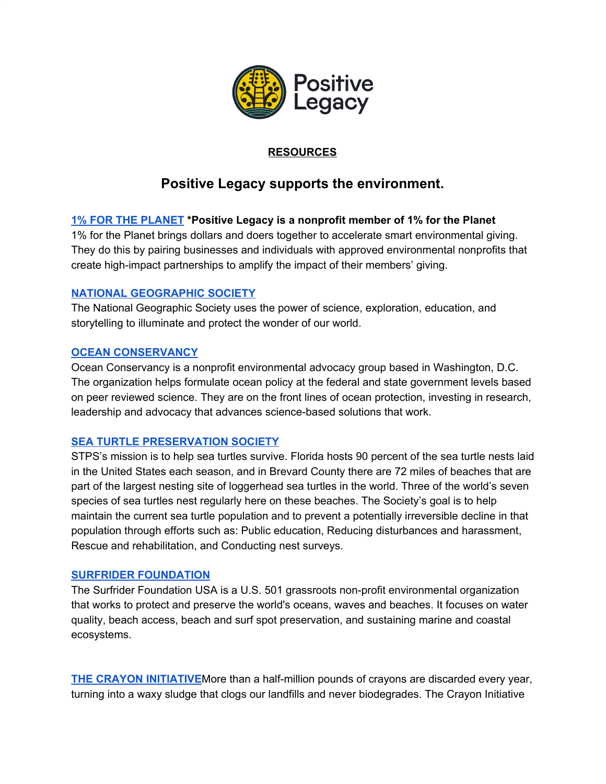

## **RESOURCES**

# **Positive Legacy supports the environment.**

## **1% FOR THE [PLANET](https://www.onepercentfortheplanet.org/) \*Positive Legacy is a nonprofit member of 1% for the Planet**

1% for the Planet brings dollars and doers together to accelerate smart environmental giving. They do this by pairing [businesses](https://www.onepercentfortheplanet.org/business-members?hsLang=en) and [individuals](https://www.onepercentfortheplanet.org/individual-members?hsLang=en) with approved environmental [nonprofits](https://www.onepercentfortheplanet.org/nonprofit-partners?hsLang=en) that create high-impact partnerships to amplify the impact of their members' giving.

## **NATIONAL [GEOGRAPHIC](https://www.nationalgeographic.org/) SOCIETY**

The National Geographic Society uses the power of science, exploration, education, and storytelling to illuminate and protect the wonder of our world.

#### **OCEAN [CONSERVANCY](https://oceanconservancy.org/)**

Ocean Conservancy is a nonprofit environmental advocacy group based in Washington, D.C. The organization helps formulate ocean policy at the federal and state government levels based on peer reviewed science. They are on the front lines of ocean protection, investing in research, leadership and advocacy that advances science-based solutions that work.

## **SEA TURTLE [PRESERVATION](https://seaturtlespacecoast.org/) SOCIETY**

STPS's mission is to help sea turtles survive. Florida hosts 90 percent of the sea turtle nests laid in the United States each season, and in Brevard County there are 72 miles of beaches that are part of the largest nesting site of loggerhead sea turtles in the world. Three of the world's seven species of sea turtles nest regularly here on these beaches. The Society's goal is to help maintain the current sea turtle population and to prevent a potentially irreversible decline in that population through efforts such as: Public education, Reducing disturbances and harassment, Rescue and rehabilitation, and Conducting nest surveys.

#### **SURFRIDER [FOUNDATION](https://www.surfrider.org/)**

The Surfrider Foundation USA is a U.S. 501 grassroots non-profit environmental organization that works to protect and preserve the world's oceans, waves and beaches. It focuses on water quality, beach access, beach and surf spot preservation, and sustaining marine and coastal ecosystems.

**THE CRAYON [INITIATIVE](https://thecrayoninitiative.org/)**More than a half-million pounds of crayons are discarded every year, turning into a waxy sludge that clogs our landfills and never biodegrades. The Crayon Initiative